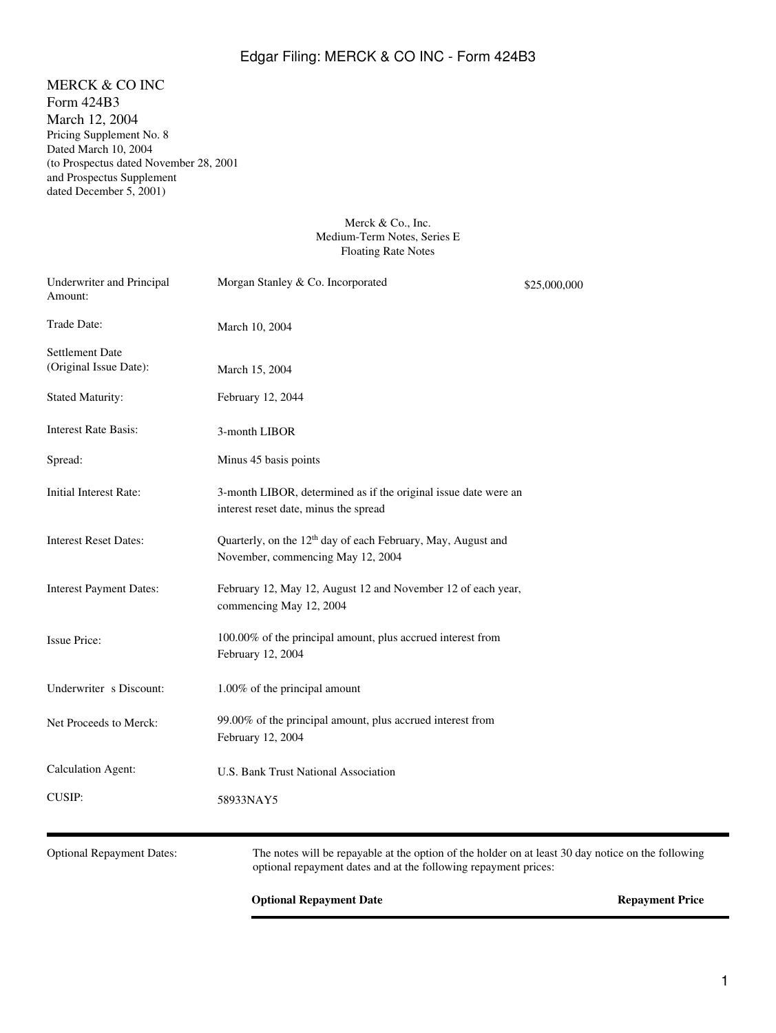# Edgar Filing: MERCK & CO INC - Form 424B3

MERCK & CO INC Form 424B3 March 12, 2004 Pricing Supplement No. 8 Dated March 10, 2004 (to Prospectus dated November 28, 2001 and Prospectus Supplement dated December 5, 2001)

### Merck & Co., Inc. Medium-Term Notes, Series E Floating Rate Notes

| Underwriter and Principal<br>Amount:             | Morgan Stanley & Co. Incorporated                                                                             | \$25,000,000 |
|--------------------------------------------------|---------------------------------------------------------------------------------------------------------------|--------------|
| Trade Date:                                      | March 10, 2004                                                                                                |              |
| <b>Settlement Date</b><br>(Original Issue Date): | March 15, 2004                                                                                                |              |
| <b>Stated Maturity:</b>                          | February 12, 2044                                                                                             |              |
| <b>Interest Rate Basis:</b>                      | 3-month LIBOR                                                                                                 |              |
| Spread:                                          | Minus 45 basis points                                                                                         |              |
| Initial Interest Rate:                           | 3-month LIBOR, determined as if the original issue date were an<br>interest reset date, minus the spread      |              |
| <b>Interest Reset Dates:</b>                     | Quarterly, on the 12 <sup>th</sup> day of each February, May, August and<br>November, commencing May 12, 2004 |              |
| <b>Interest Payment Dates:</b>                   | February 12, May 12, August 12 and November 12 of each year,<br>commencing May 12, 2004                       |              |
| <b>Issue Price:</b>                              | 100.00% of the principal amount, plus accrued interest from<br>February 12, 2004                              |              |
| Underwriter s Discount:                          | 1.00% of the principal amount                                                                                 |              |
| Net Proceeds to Merck:                           | 99.00% of the principal amount, plus accrued interest from<br>February 12, 2004                               |              |
| <b>Calculation Agent:</b>                        | U.S. Bank Trust National Association                                                                          |              |
| <b>CUSIP:</b>                                    | 58933NAY5                                                                                                     |              |
|                                                  |                                                                                                               |              |

Optional Repayment Dates: The notes will be repayable at the option of the holder on at least 30 day notice on the following optional repayment dates and at the following repayment prices:

## **Optional Repayment Date Repayment Price**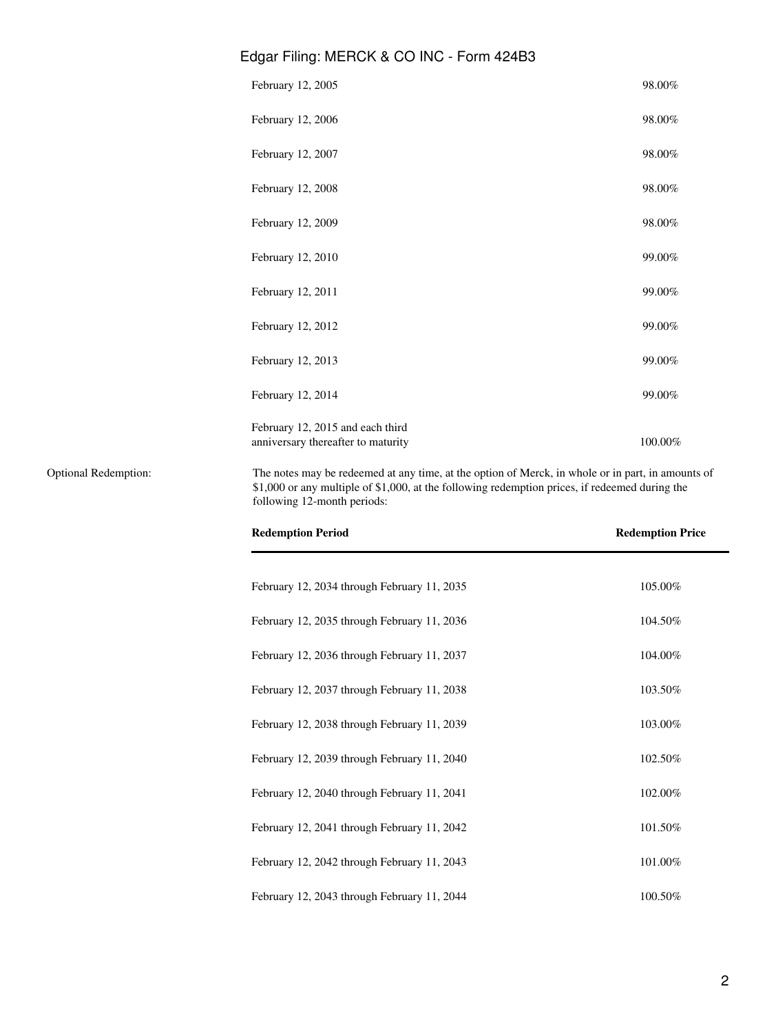| Edgar Filing: MERCK & CO INC - Form 424B3                              |            |
|------------------------------------------------------------------------|------------|
| February 12, 2005                                                      | 98.00%     |
| February 12, 2006                                                      | 98.00%     |
| February 12, 2007                                                      | 98.00%     |
| February 12, 2008                                                      | 98.00%     |
| February 12, 2009                                                      | 98.00%     |
| February 12, 2010                                                      | 99.00%     |
| February 12, 2011                                                      | 99.00%     |
| February 12, 2012                                                      | 99.00%     |
| February 12, 2013                                                      | 99.00%     |
| February 12, 2014                                                      | 99.00%     |
| February 12, 2015 and each third<br>anniversary thereafter to maturity | $100.00\%$ |
|                                                                        |            |

Optional Redemption: The notes may be redeemed at any time, at the option of Merck, in whole or in part, in amounts of \$1,000 or any multiple of \$1,000, at the following redemption prices, if redeemed during the following 12-month periods:

| <b>Redemption Period</b>                    | <b>Redemption Price</b> |  |
|---------------------------------------------|-------------------------|--|
| February 12, 2034 through February 11, 2035 | 105.00%                 |  |
| February 12, 2035 through February 11, 2036 | 104.50%                 |  |
| February 12, 2036 through February 11, 2037 | 104.00%                 |  |
| February 12, 2037 through February 11, 2038 | 103.50%                 |  |
| February 12, 2038 through February 11, 2039 | 103.00%                 |  |
| February 12, 2039 through February 11, 2040 | 102.50%                 |  |
| February 12, 2040 through February 11, 2041 | 102.00%                 |  |
| February 12, 2041 through February 11, 2042 | 101.50%                 |  |
| February 12, 2042 through February 11, 2043 | 101.00%                 |  |
| February 12, 2043 through February 11, 2044 | 100.50%                 |  |